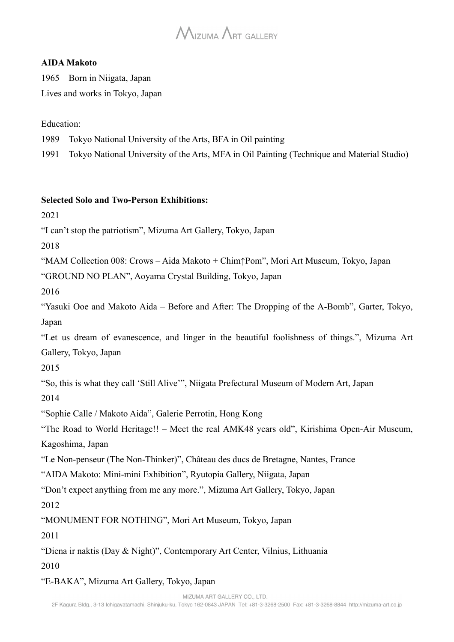# $M_{\text{IZUMA}}$   $\Lambda$ rt GALLERY

#### **AIDA Makoto**

1965 Born in Niigata, Japan Lives and works in Tokyo, Japan

#### Education:

1989 Tokyo National University of the Arts, BFA in Oil painting

1991 Tokyo National University of the Arts, MFA in Oil Painting (Technique and Material Studio)

#### **Selected Solo and Two-Person Exhibitions:**

2021

"I can't stop the patriotism", Mizuma Art Gallery, Tokyo, Japan

2018

"MAM Collection 008: Crows – Aida Makoto + Chim↑Pom", Mori Art Museum, Tokyo, Japan

"GROUND NO PLAN", Aoyama Crystal Building, Tokyo, Japan

2016

"Yasuki Ooe and Makoto Aida – Before and After: The Dropping of the A-Bomb", Garter, Tokyo, Japan

"Let us dream of evanescence, and linger in the beautiful foolishness of things.", Mizuma Art Gallery, Tokyo, Japan

2015

"So, this is what they call 'Still Alive'", Niigata Prefectural Museum of Modern Art, Japan

2014

"Sophie Calle / Makoto Aida", Galerie Perrotin, Hong Kong

"The Road to World Heritage!! – Meet the real AMK48 years old", Kirishima Open-Air Museum, Kagoshima, Japan

"Le Non-penseur (The Non-Thinker)", Château des ducs de Bretagne, Nantes, France

"AIDA Makoto: Mini-mini Exhibition", Ryutopia Gallery, Niigata, Japan

"Don't expect anything from me any more.", Mizuma Art Gallery, Tokyo, Japan

2012

"MONUMENT FOR NOTHING", Mori Art Museum, Tokyo, Japan

2011

"Diena ir naktis (Day & Night)", Contemporary Art Center, Vilnius, Lithuania

2010

"E-BAKA", Mizuma Art Gallery, Tokyo, Japan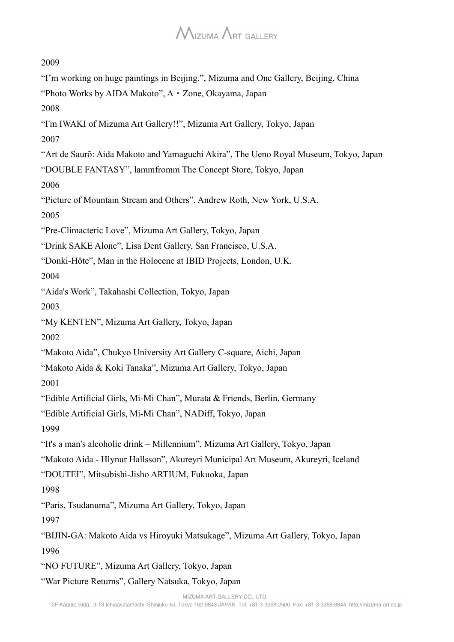2009

"I'm working on huge paintings in Beijing.", Mizuma and One Gallery, Beijing, China

"Photo Works by AIDA Makoto", A・Zone, Okayama, Japan

2008

"I'm IWAKI of Mizuma Art Gallery!!", Mizuma Art Gallery, Tokyo, Japan

2007

"Art de Saurõ: Aida Makoto and Yamaguchi Akira", The Ueno Royal Museum, Tokyo, Japan

"DOUBLE FANTASY", lammfromm The Concept Store, Tokyo, Japan

2006

"Picture of Mountain Stream and Others", Andrew Roth, New York, U.S.A.

2005

"Pre-Climacteric Love", Mizuma Art Gallery, Tokyo, Japan

"Drink SAKE Alone", Lisa Dent Gallery, San Francisco, U.S.A.

"Donki-Hôte", Man in the Holocene at IBID Projects, London, U.K.

2004

"Aida's Work", Takahashi Collection, Tokyo, Japan

2003

"My KENTEN", Mizuma Art Gallery, Tokyo, Japan

2002

"Makoto Aida", Chukyo University Art Gallery C-square, Aichi, Japan

"Makoto Aida & Koki Tanaka", Mizuma Art Gallery, Tokyo, Japan

2001

"Edible Artificial Girls, Mi-Mi Chan", Murata & Friends, Berlin, Germany

"Edible Artificial Girls, Mi-Mi Chan", NADiff, Tokyo, Japan

1999

"It's a man's alcoholic drink – Millennium", Mizuma Art Gallery, Tokyo, Japan

"Makoto Aida - Hlynur Hallsson", Akureyri Municipal Art Museum, Akureyri, Iceland

"DOUTEI", Mitsubishi-Jisho ARTIUM, Fukuoka, Japan

1998

"Paris, Tsudanuma", Mizuma Art Gallery, Tokyo, Japan

1997

"BIJIN-GA: Makoto Aida vs Hiroyuki Matsukage", Mizuma Art Gallery, Tokyo, Japan 1996

"NO FUTURE", Mizuma Art Gallery, Tokyo, Japan

"War Picture Returns", Gallery Natsuka, Tokyo, Japan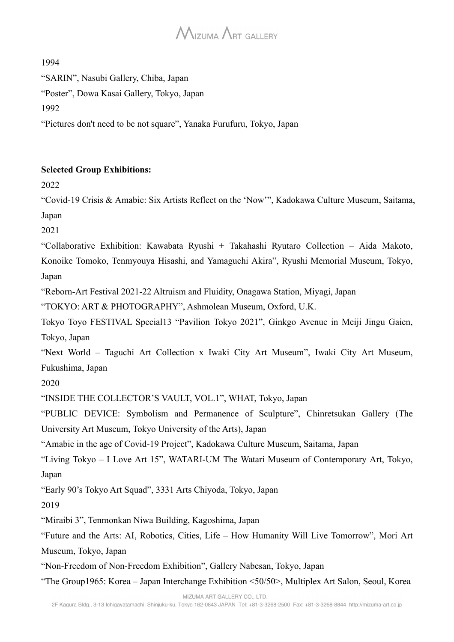1994

"SARIN", Nasubi Gallery, Chiba, Japan

"Poster", Dowa Kasai Gallery, Tokyo, Japan

1992

"Pictures don't need to be not square", Yanaka Furufuru, Tokyo, Japan

#### **Selected Group Exhibitions:**

2022

"Covid-19 Crisis & Amabie: Six Artists Reflect on the 'Now'", Kadokawa Culture Museum, Saitama, Japan

2021

"Collaborative Exhibition: Kawabata Ryushi + Takahashi Ryutaro Collection – Aida Makoto,

Konoike Tomoko, Tenmyouya Hisashi, and Yamaguchi Akira", Ryushi Memorial Museum, Tokyo, Japan

"Reborn-Art Festival 2021-22 Altruism and Fluidity, Onagawa Station, Miyagi, Japan

"TOKYO: ART & PHOTOGRAPHY", Ashmolean Museum, Oxford, U.K.

Tokyo Toyo FESTIVAL Special13 "Pavilion Tokyo 2021", Ginkgo Avenue in Meiji Jingu Gaien, Tokyo, Japan

"Next World – Taguchi Art Collection x Iwaki City Art Museum", Iwaki City Art Museum, Fukushima, Japan

2020

"INSIDE THE COLLECTOR'S VAULT, VOL.1", WHAT, Tokyo, Japan

"PUBLIC DEVICE: Symbolism and Permanence of Sculpture", Chinretsukan Gallery (The University Art Museum, Tokyo University of the Arts), Japan

"Amabie in the age of Covid-19 Project", Kadokawa Culture Museum, Saitama, Japan

"Living Tokyo – I Love Art 15", WATARI-UM The Watari Museum of Contemporary Art, Tokyo, Japan

"Early 90's Tokyo Art Squad", 3331 Arts Chiyoda, Tokyo, Japan

2019

"Miraibi 3", Tenmonkan Niwa Building, Kagoshima, Japan

"Future and the Arts: AI, Robotics, Cities, Life – How Humanity Will Live Tomorrow", Mori Art Museum, Tokyo, Japan

"Non-Freedom of Non-Freedom Exhibition", Gallery Nabesan, Tokyo, Japan

"The Group1965: Korea – Japan Interchange Exhibition <50/50>, Multiplex Art Salon, Seoul, Korea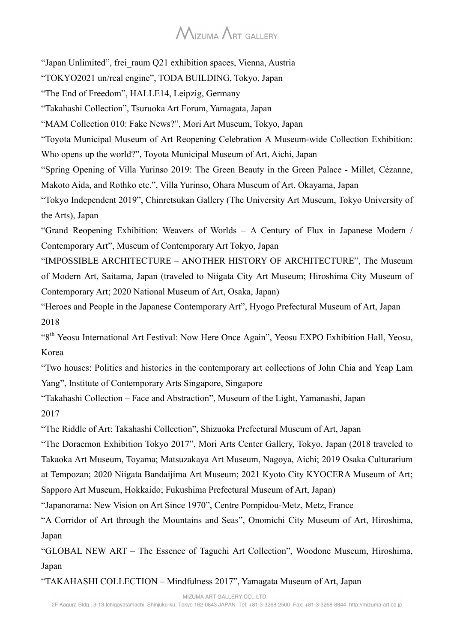"Japan Unlimited", frei raum O21 exhibition spaces, Vienna, Austria "TOKYO2021 un/real engine", TODA BUILDING, Tokyo, Japan "The End of Freedom", HALLE14, Leipzig, Germany "Takahashi Collection", Tsuruoka Art Forum, Yamagata, Japan "MAM Collection 010: Fake News?", Mori Art Museum, Tokyo, Japan "Toyota Municipal Museum of Art Reopening Celebration A Museum-wide Collection Exhibition: Who opens up the world?", Toyota Municipal Museum of Art, Aichi, Japan "Spring Opening of Villa Yurinso 2019: The Green Beauty in the Green Palace - Millet, Cézanne, Makoto Aida, and Rothko etc.", Villa Yurinso, Ohara Museum of Art, Okayama, Japan "Tokyo Independent 2019", Chinretsukan Gallery (The University Art Museum, Tokyo University of the Arts), Japan "Grand Reopening Exhibition: Weavers of Worlds – A Century of Flux in Japanese Modern / Contemporary Art", Museum of Contemporary Art Tokyo, Japan "IMPOSSIBLE ARCHITECTURE – ANOTHER HISTORY OF ARCHITECTURE", The Museum of Modern Art, Saitama, Japan (traveled to Niigata City Art Museum; Hiroshima City Museum of Contemporary Art; 2020 National Museum of Art, Osaka, Japan) "Heroes and People in the Japanese Contemporary Art", Hyogo Prefectural Museum of Art, Japan 2018 "8<sup>th</sup> Yeosu International Art Festival: Now Here Once Again", Yeosu EXPO Exhibition Hall, Yeosu, Korea "Two houses: Politics and histories in the contemporary art collections of John Chia and Yeap Lam Yang", Institute of Contemporary Arts Singapore, Singapore "Takahashi Collection – Face and Abstraction", Museum of the Light, Yamanashi, Japan 2017 "The Riddle of Art: Takahashi Collection", Shizuoka Prefectural Museum of Art, Japan

"The Doraemon Exhibition Tokyo 2017", Mori Arts Center Gallery, Tokyo, Japan (2018 traveled to Takaoka Art Museum, Toyama; Matsuzakaya Art Museum, Nagoya, Aichi; 2019 Osaka Culturarium at Tempozan; 2020 Niigata Bandaijima Art Museum; 2021 Kyoto City KYOCERA Museum of Art; Sapporo Art Museum, Hokkaido; Fukushima Prefectural Museum of Art, Japan)

"Japanorama: New Vision on Art Since 1970", Centre Pompidou-Metz, Metz, France

"A Corridor of Art through the Mountains and Seas", Onomichi City Museum of Art, Hiroshima, Japan

"GLOBAL NEW ART – The Essence of Taguchi Art Collection", Woodone Museum, Hiroshima, Japan

"TAKAHASHI COLLECTION – Mindfulness 2017", Yamagata Museum of Art, Japan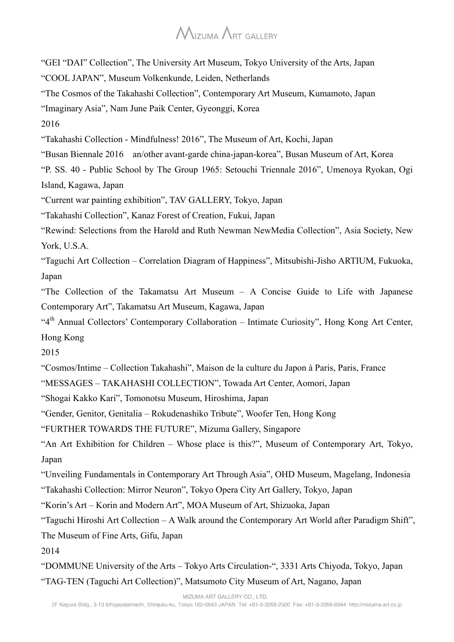"GEI "DAI" Collection", The University Art Museum, Tokyo University of the Arts, Japan

"COOL JAPAN", Museum Volkenkunde, Leiden, Netherlands

"The Cosmos of the Takahashi Collection", Contemporary Art Museum, Kumamoto, Japan

"Imaginary Asia", Nam June Paik Center, Gyeonggi, Korea

2016

"Takahashi Collection - Mindfulness! 2016", The Museum of Art, Kochi, Japan

"Busan Biennale 2016 an/other avant-garde china-japan-korea", Busan Museum of Art, Korea

"P. SS. 40 - Public School by The Group 1965: Setouchi Triennale 2016", Umenoya Ryokan, Ogi Island, Kagawa, Japan

"Current war painting exhibition", TAV GALLERY, Tokyo, Japan

"Takahashi Collection", Kanaz Forest of Creation, Fukui, Japan

"Rewind: Selections from the Harold and Ruth Newman NewMedia Collection", Asia Society, New York, U.S.A.

"Taguchi Art Collection – Correlation Diagram of Happiness", Mitsubishi-Jisho ARTIUM, Fukuoka, Japan

"The Collection of the Takamatsu Art Museum – A Concise Guide to Life with Japanese Contemporary Art", Takamatsu Art Museum, Kagawa, Japan

"4<sup>th</sup> Annual Collectors' Contemporary Collaboration – Intimate Curiosity", Hong Kong Art Center, Hong Kong

2015

"Cosmos/Intime – Collection Takahashi", Maison de la culture du Japon à Paris, Paris, France

"MESSAGES – TAKAHASHI COLLECTION", Towada Art Center, Aomori, Japan

"Shogai Kakko Kari", Tomonotsu Museum, Hiroshima, Japan

"Gender, Genitor, Genitalia – Rokudenashiko Tribute", Woofer Ten, Hong Kong

"FURTHER TOWARDS THE FUTURE", Mizuma Gallery, Singapore

"An Art Exhibition for Children – Whose place is this?", Museum of Contemporary Art, Tokyo, Japan

"Unveiling Fundamentals in Contemporary Art Through Asia", OHD Museum, Magelang, Indonesia

"Takahashi Collection: Mirror Neuron", Tokyo Opera City Art Gallery, Tokyo, Japan

"Korin's Art – Korin and Modern Art", MOA Museum of Art, Shizuoka, Japan

"Taguchi Hiroshi Art Collection – A Walk around the Contemporary Art World after Paradigm Shift",

The Museum of Fine Arts, Gifu, Japan

2014

"DOMMUNE University of the Arts – Tokyo Arts Circulation-", 3331 Arts Chiyoda, Tokyo, Japan "TAG-TEN (Taguchi Art Collection)", Matsumoto City Museum of Art, Nagano, Japan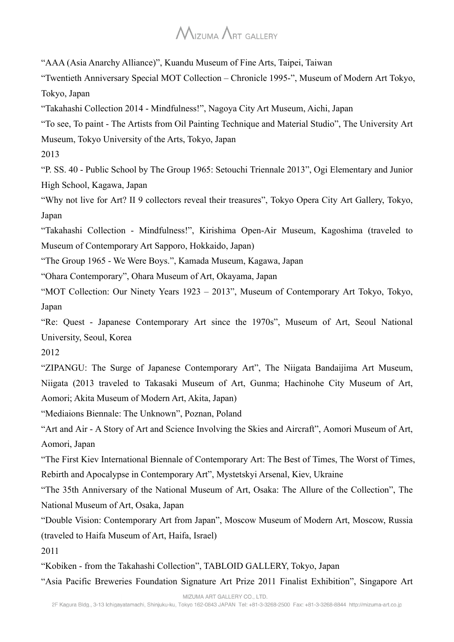"AAA (Asia Anarchy Alliance)", Kuandu Museum of Fine Arts, Taipei, Taiwan

"Twentieth Anniversary Special MOT Collection – Chronicle 1995-", Museum of Modern Art Tokyo, Tokyo, Japan

"Takahashi Collection 2014 - Mindfulness!", Nagoya City Art Museum, Aichi, Japan

"To see, To paint - The Artists from Oil Painting Technique and Material Studio", The University Art Museum, Tokyo University of the Arts, Tokyo, Japan

2013

"P. SS. 40 - Public School by The Group 1965: Setouchi Triennale 2013", Ogi Elementary and Junior High School, Kagawa, Japan

"Why not live for Art? II 9 collectors reveal their treasures", Tokyo Opera City Art Gallery, Tokyo, Japan

"Takahashi Collection - Mindfulness!", Kirishima Open-Air Museum, Kagoshima (traveled to Museum of Contemporary Art Sapporo, Hokkaido, Japan)

"The Group 1965 - We Were Boys.", Kamada Museum, Kagawa, Japan

"Ohara Contemporary", Ohara Museum of Art, Okayama, Japan

"MOT Collection: Our Ninety Years 1923 – 2013", Museum of Contemporary Art Tokyo, Tokyo, Japan

"Re: Quest - Japanese Contemporary Art since the 1970s", Museum of Art, Seoul National University, Seoul, Korea

2012

"ZIPANGU: The Surge of Japanese Contemporary Art", The Niigata Bandaijima Art Museum, Niigata (2013 traveled to Takasaki Museum of Art, Gunma; Hachinohe City Museum of Art, Aomori; Akita Museum of Modern Art, Akita, Japan)

"Mediaions Biennale: The Unknown", Poznan, Poland

"Art and Air - A Story of Art and Science Involving the Skies and Aircraft", Aomori Museum of Art, Aomori, Japan

"The First Kiev International Biennale of Contemporary Art: The Best of Times, The Worst of Times, Rebirth and Apocalypse in Contemporary Art", Mystetskyi Arsenal, Kiev, Ukraine

"The 35th Anniversary of the National Museum of Art, Osaka: The Allure of the Collection", The National Museum of Art, Osaka, Japan

"Double Vision: Contemporary Art from Japan", Moscow Museum of Modern Art, Moscow, Russia (traveled to Haifa Museum of Art, Haifa, Israel)

2011

"Kobiken - from the Takahashi Collection", TABLOID GALLERY, Tokyo, Japan

"Asia Pacific Breweries Foundation Signature Art Prize 2011 Finalist Exhibition", Singapore Art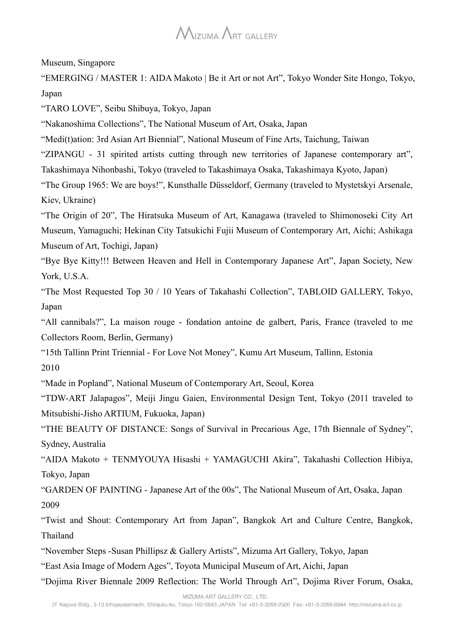Museum, Singapore

"EMERGING / MASTER 1: AIDA Makoto | Be it Art or not Art", Tokyo Wonder Site Hongo, Tokyo, Japan

"TARO LOVE", Seibu Shibuya, Tokyo, Japan

"Nakanoshima Collections", The National Museum of Art, Osaka, Japan

"Medi(t)ation: 3rd Asian Art Biennial", National Museum of Fine Arts, Taichung, Taiwan

"ZIPANGU - 31 spirited artists cutting through new territories of Japanese contemporary art",

Takashimaya Nihonbashi, Tokyo (traveled to Takashimaya Osaka, Takashimaya Kyoto, Japan)

"The Group 1965: We are boys!", Kunsthalle Düsseldorf, Germany (traveled to Mystetskyi Arsenale, Kiev, Ukraine)

"The Origin of 20", The Hiratsuka Museum of Art, Kanagawa (traveled to Shimonoseki City Art Museum, Yamaguchi; Hekinan City Tatsukichi Fujii Museum of Contemporary Art, Aichi; Ashikaga Museum of Art, Tochigi, Japan)

"Bye Bye Kitty!!! Between Heaven and Hell in Contemporary Japanese Art", Japan Society, New York, U.S.A.

"The Most Requested Top 30 / 10 Years of Takahashi Collection", TABLOID GALLERY, Tokyo, Japan

"All cannibals?", La maison rouge - fondation antoine de galbert, Paris, France (traveled to me Collectors Room, Berlin, Germany)

"15th Tallinn Print Triennial - For Love Not Money", Kumu Art Museum, Tallinn, Estonia 2010

"Made in Popland", National Museum of Contemporary Art, Seoul, Korea

"TDW-ART Jalapagos", Meiji Jingu Gaien, Environmental Design Tent, Tokyo (2011 traveled to Mitsubishi-Jisho ARTIUM, Fukuoka, Japan)

"THE BEAUTY OF DISTANCE: Songs of Survival in Precarious Age, 17th Biennale of Sydney", Sydney, Australia

"AIDA Makoto + TENMYOUYA Hisashi + YAMAGUCHI Akira", Takahashi Collection Hibiya, Tokyo, Japan

"GARDEN OF PAINTING - Japanese Art of the 00s", The National Museum of Art, Osaka, Japan 2009

"Twist and Shout: Contemporary Art from Japan", Bangkok Art and Culture Centre, Bangkok, Thailand

"November Steps -Susan Phillipsz & Gallery Artists", Mizuma Art Gallery, Tokyo, Japan

"East Asia Image of Modern Ages", Toyota Municipal Museum of Art, Aichi, Japan

"Dojima River Biennale 2009 Reflection: The World Through Art", Dojima River Forum, Osaka,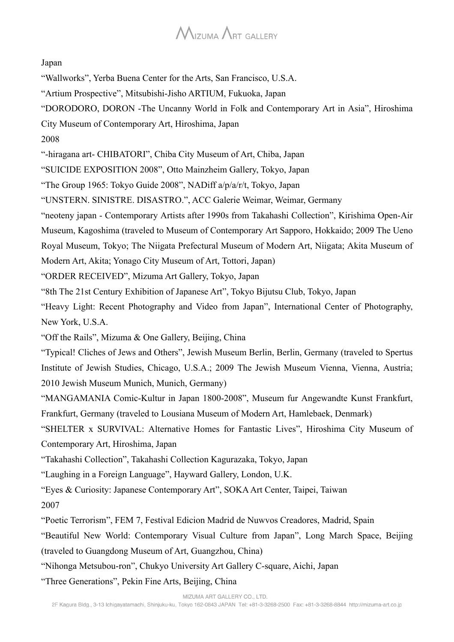#### Japan

"Wallworks", Yerba Buena Center for the Arts, San Francisco, U.S.A.

"Artium Prospective", Mitsubishi-Jisho ARTIUM, Fukuoka, Japan

"DORODORO, DORON -The Uncanny World in Folk and Contemporary Art in Asia", Hiroshima

City Museum of Contemporary Art, Hiroshima, Japan

2008

"-hiragana art- CHIBATORI", Chiba City Museum of Art, Chiba, Japan

"SUICIDE EXPOSITION 2008", Otto Mainzheim Gallery, Tokyo, Japan

"The Group 1965: Tokyo Guide 2008", NADiff a/p/a/r/t, Tokyo, Japan

"UNSTERN. SINISTRE. DISASTRO.", ACC Galerie Weimar, Weimar, Germany

"neoteny japan - Contemporary Artists after 1990s from Takahashi Collection", Kirishima Open-Air Museum, Kagoshima (traveled to Museum of Contemporary Art Sapporo, Hokkaido; 2009 The Ueno Royal Museum, Tokyo; The Niigata Prefectural Museum of Modern Art, Niigata; Akita Museum of

Modern Art, Akita; Yonago City Museum of Art, Tottori, Japan)

"ORDER RECEIVED", Mizuma Art Gallery, Tokyo, Japan

"8th The 21st Century Exhibition of Japanese Art", Tokyo Bijutsu Club, Tokyo, Japan

"Heavy Light: Recent Photography and Video from Japan", International Center of Photography, New York, U.S.A.

"Off the Rails", Mizuma & One Gallery, Beijing, China

"Typical! Cliches of Jews and Others", Jewish Museum Berlin, Berlin, Germany (traveled to Spertus Institute of Jewish Studies, Chicago, U.S.A.; 2009 The Jewish Museum Vienna, Vienna, Austria; 2010 Jewish Museum Munich, Munich, Germany)

"MANGAMANIA Comic-Kultur in Japan 1800-2008", Museum fur Angewandte Kunst Frankfurt, Frankfurt, Germany (traveled to Lousiana Museum of Modern Art, Hamlebaek, Denmark)

"SHELTER x SURVIVAL: Alternative Homes for Fantastic Lives", Hiroshima City Museum of

Contemporary Art, Hiroshima, Japan

"Takahashi Collection", Takahashi Collection Kagurazaka, Tokyo, Japan

"Laughing in a Foreign Language", Hayward Gallery, London, U.K.

"Eyes & Curiosity: Japanese Contemporary Art", SOKA Art Center, Taipei, Taiwan 2007

"Poetic Terrorism", FEM 7, Festival Edicion Madrid de Nuwvos Creadores, Madrid, Spain

"Beautiful New World: Contemporary Visual Culture from Japan", Long March Space, Beijing

(traveled to Guangdong Museum of Art, Guangzhou, China)

"Nihonga Metsubou-ron", Chukyo University Art Gallery C-square, Aichi, Japan

"Three Generations", Pekin Fine Arts, Beijing, China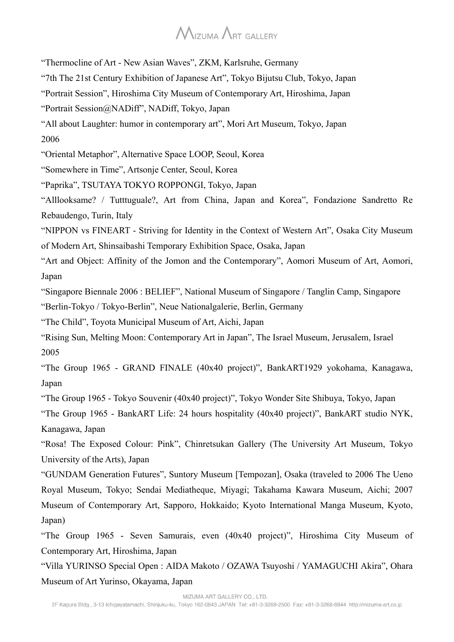"Thermocline of Art - New Asian Waves", ZKM, Karlsruhe, Germany

"7th The 21st Century Exhibition of Japanese Art", Tokyo Bijutsu Club, Tokyo, Japan

"Portrait Session", Hiroshima City Museum of Contemporary Art, Hiroshima, Japan

"Portrait Session@NADiff", NADiff, Tokyo, Japan

"All about Laughter: humor in contemporary art", Mori Art Museum, Tokyo, Japan 2006

"Oriental Metaphor", Alternative Space LOOP, Seoul, Korea

"Somewhere in Time", Artsonje Center, Seoul, Korea

"Paprika", TSUTAYA TOKYO ROPPONGI, Tokyo, Japan

"Alllooksame? / Tutttuguale?, Art from China, Japan and Korea", Fondazione Sandretto Re Rebaudengo, Turin, Italy

"NIPPON vs FINEART - Striving for Identity in the Context of Western Art", Osaka City Museum of Modern Art, Shinsaibashi Temporary Exhibition Space, Osaka, Japan

"Art and Object: Affinity of the Jomon and the Contemporary", Aomori Museum of Art, Aomori, Japan

"Singapore Biennale 2006 : BELIEF", National Museum of Singapore / Tanglin Camp, Singapore "Berlin-Tokyo / Tokyo-Berlin", Neue Nationalgalerie, Berlin, Germany

"The Child", Toyota Municipal Museum of Art, Aichi, Japan

"Rising Sun, Melting Moon: Contemporary Art in Japan", The Israel Museum, Jerusalem, Israel 2005

"The Group 1965 - GRAND FINALE (40x40 project)", BankART1929 yokohama, Kanagawa, Japan

"The Group 1965 - Tokyo Souvenir (40x40 project)", Tokyo Wonder Site Shibuya, Tokyo, Japan

"The Group 1965 - BankART Life: 24 hours hospitality (40x40 project)", BankART studio NYK, Kanagawa, Japan

"Rosa! The Exposed Colour: Pink", Chinretsukan Gallery (The University Art Museum, Tokyo University of the Arts), Japan

"GUNDAM Generation Futures", Suntory Museum [Tempozan], Osaka (traveled to 2006 The Ueno Royal Museum, Tokyo; Sendai Mediatheque, Miyagi; Takahama Kawara Museum, Aichi; 2007 Museum of Contemporary Art, Sapporo, Hokkaido; Kyoto International Manga Museum, Kyoto, Japan)

"The Group 1965 - Seven Samurais, even (40x40 project)", Hiroshima City Museum of Contemporary Art, Hiroshima, Japan

"Villa YURINSO Special Open : AIDA Makoto / OZAWA Tsuyoshi / YAMAGUCHI Akira", Ohara Museum of Art Yurinso, Okayama, Japan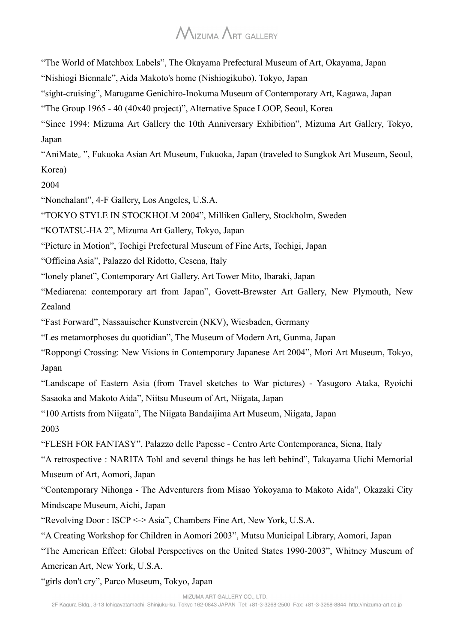"The World of Matchbox Labels", The Okayama Prefectural Museum of Art, Okayama, Japan

"Nishiogi Biennale", Aida Makoto's home (Nishiogikubo), Tokyo, Japan

"sight-cruising", Marugame Genichiro-Inokuma Museum of Contemporary Art, Kagawa, Japan

"The Group 1965 - 40 (40x40 project)", Alternative Space LOOP, Seoul, Korea

"Since 1994: Mizuma Art Gallery the 10th Anniversary Exhibition", Mizuma Art Gallery, Tokyo, Japan

"AniMate。", Fukuoka Asian Art Museum, Fukuoka, Japan (traveled to Sungkok Art Museum, Seoul, Korea)

2004

"Nonchalant", 4-F Gallery, Los Angeles, U.S.A.

"TOKYO STYLE IN STOCKHOLM 2004", Milliken Gallery, Stockholm, Sweden

"KOTATSU-HA 2", Mizuma Art Gallery, Tokyo, Japan

"Picture in Motion", Tochigi Prefectural Museum of Fine Arts, Tochigi, Japan

"Officina Asia", Palazzo del Ridotto, Cesena, Italy

"lonely planet", Contemporary Art Gallery, Art Tower Mito, Ibaraki, Japan

"Mediarena: contemporary art from Japan", Govett-Brewster Art Gallery, New Plymouth, New Zealand

"Fast Forward", Nassauischer Kunstverein (NKV), Wiesbaden, Germany

"Les metamorphoses du quotidian", The Museum of Modern Art, Gunma, Japan

"Roppongi Crossing: New Visions in Contemporary Japanese Art 2004", Mori Art Museum, Tokyo, Japan

"Landscape of Eastern Asia (from Travel sketches to War pictures) - Yasugoro Ataka, Ryoichi Sasaoka and Makoto Aida", Niitsu Museum of Art, Niigata, Japan

"100 Artists from Niigata", The Niigata Bandaijima Art Museum, Niigata, Japan

2003

"FLESH FOR FANTASY", Palazzo delle Papesse - Centro Arte Contemporanea, Siena, Italy

"A retrospective : NARITA Tohl and several things he has left behind", Takayama Uichi Memorial Museum of Art, Aomori, Japan

"Contemporary Nihonga - The Adventurers from Misao Yokoyama to Makoto Aida", Okazaki City Mindscape Museum, Aichi, Japan

"Revolving Door : ISCP <-> Asia", Chambers Fine Art, New York, U.S.A.

"A Creating Workshop for Children in Aomori 2003", Mutsu Municipal Library, Aomori, Japan

"The American Effect: Global Perspectives on the United States 1990-2003", Whitney Museum of American Art, New York, U.S.A.

"girls don't cry", Parco Museum, Tokyo, Japan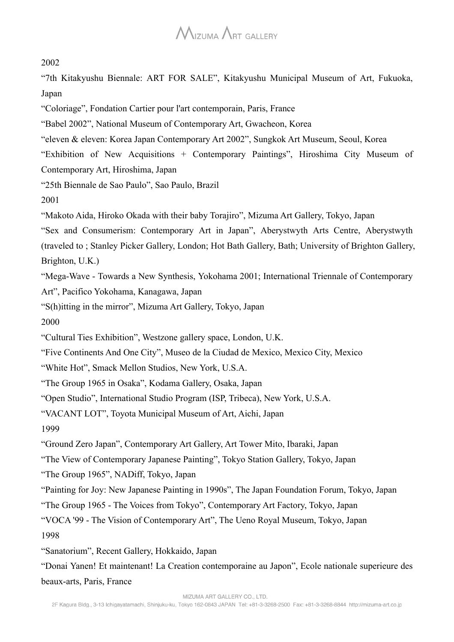#### 2002

"7th Kitakyushu Biennale: ART FOR SALE", Kitakyushu Municipal Museum of Art, Fukuoka, Japan

"Coloriage", Fondation Cartier pour l'art contemporain, Paris, France

"Babel 2002", National Museum of Contemporary Art, Gwacheon, Korea

"eleven & eleven: Korea Japan Contemporary Art 2002", Sungkok Art Museum, Seoul, Korea

"Exhibition of New Acquisitions + Contemporary Paintings", Hiroshima City Museum of Contemporary Art, Hiroshima, Japan

"25th Biennale de Sao Paulo", Sao Paulo, Brazil

2001

"Makoto Aida, Hiroko Okada with their baby Torajiro", Mizuma Art Gallery, Tokyo, Japan

"Sex and Consumerism: Contemporary Art in Japan", Aberystwyth Arts Centre, Aberystwyth (traveled to ; Stanley Picker Gallery, London; Hot Bath Gallery, Bath; University of Brighton Gallery,

Brighton, U.K.)

"Mega-Wave - Towards a New Synthesis, Yokohama 2001; International Triennale of Contemporary Art", Pacifico Yokohama, Kanagawa, Japan

"S(h)itting in the mirror", Mizuma Art Gallery, Tokyo, Japan

2000

"Cultural Ties Exhibition", Westzone gallery space, London, U.K.

"Five Continents And One City", Museo de la Ciudad de Mexico, Mexico City, Mexico

"White Hot", Smack Mellon Studios, New York, U.S.A.

"The Group 1965 in Osaka", Kodama Gallery, Osaka, Japan

"Open Studio", International Studio Program (ISP, Tribeca), New York, U.S.A.

"VACANT LOT", Toyota Municipal Museum of Art, Aichi, Japan

1999

"Ground Zero Japan", Contemporary Art Gallery, Art Tower Mito, Ibaraki, Japan

"The View of Contemporary Japanese Painting", Tokyo Station Gallery, Tokyo, Japan

"The Group 1965", NADiff, Tokyo, Japan

"Painting for Joy: New Japanese Painting in 1990s", The Japan Foundation Forum, Tokyo, Japan

"The Group 1965 - The Voices from Tokyo", Contemporary Art Factory, Tokyo, Japan

"VOCA '99 - The Vision of Contemporary Art", The Ueno Royal Museum, Tokyo, Japan 1998

"Sanatorium", Recent Gallery, Hokkaido, Japan 

"Donai Yanen! Et maintenant! La Creation contemporaine au Japon", Ecole nationale superieure des beaux-arts, Paris, France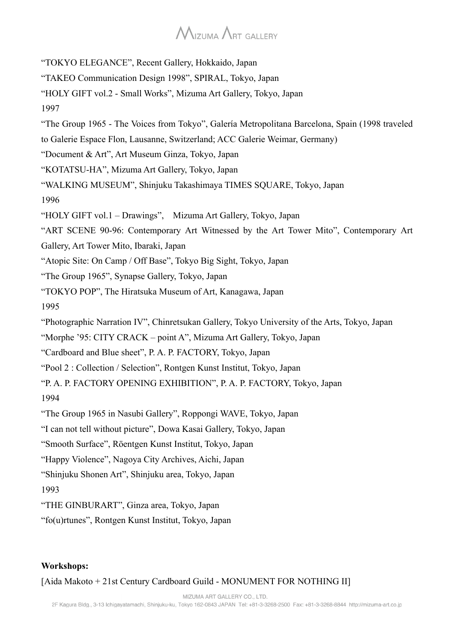"TOKYO ELEGANCE", Recent Gallery, Hokkaido, Japan

- "TAKEO Communication Design 1998", SPIRAL, Tokyo, Japan
- "HOLY GIFT vol.2 Small Works", Mizuma Art Gallery, Tokyo, Japan

1997

"The Group 1965 - The Voices from Tokyo", Galería Metropolitana Barcelona, Spain (1998 traveled

to Galerie Espace Flon, Lausanne, Switzerland; ACC Galerie Weimar, Germany)

"Document & Art", Art Museum Ginza, Tokyo, Japan

"KOTATSU-HA", Mizuma Art Gallery, Tokyo, Japan

"WALKING MUSEUM", Shinjuku Takashimaya TIMES SQUARE, Tokyo, Japan

1996

"HOLY GIFT vol.1 – Drawings", Mizuma Art Gallery, Tokyo, Japan

"ART SCENE 90-96: Contemporary Art Witnessed by the Art Tower Mito", Contemporary Art

Gallery, Art Tower Mito, Ibaraki, Japan

"Atopic Site: On Camp / Off Base", Tokyo Big Sight, Tokyo, Japan

"The Group 1965", Synapse Gallery, Tokyo, Japan

"TOKYO POP", The Hiratsuka Museum of Art, Kanagawa, Japan

1995

"Photographic Narration IV", Chinretsukan Gallery, Tokyo University of the Arts, Tokyo, Japan

"Morphe '95: CITY CRACK – point A", Mizuma Art Gallery, Tokyo, Japan

"Cardboard and Blue sheet", P. A. P. FACTORY, Tokyo, Japan

"Pool 2 : Collection / Selection", Rontgen Kunst Institut, Tokyo, Japan

"P. A. P. FACTORY OPENING EXHIBITION", P. A. P. FACTORY, Tokyo, Japan

1994

"The Group 1965 in Nasubi Gallery", Roppongi WAVE, Tokyo, Japan

"I can not tell without picture", Dowa Kasai Gallery, Tokyo, Japan

"Smooth Surface", Röentgen Kunst Institut, Tokyo, Japan

"Happy Violence", Nagoya City Archives, Aichi, Japan

"Shinjuku Shonen Art", Shinjuku area, Tokyo, Japan

#### 1993

"THE GINBURART", Ginza area, Tokyo, Japan

"fo(u)rtunes", Rontgen Kunst Institut, Tokyo, Japan

#### **Workshops:**

[Aida Makoto + 21st Century Cardboard Guild - MONUMENT FOR NOTHING II]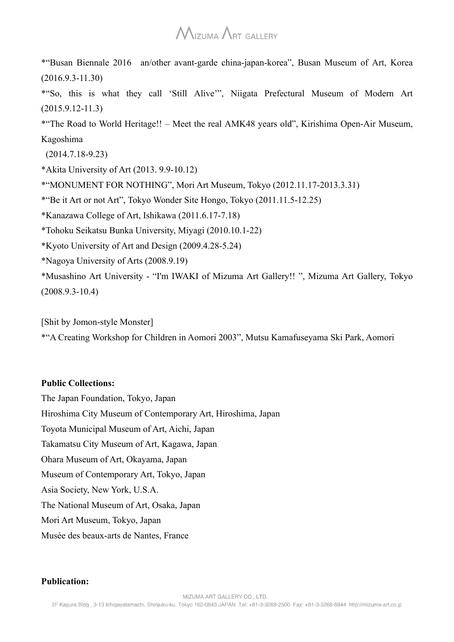\*"Busan Biennale 2016 an/other avant-garde china-japan-korea", Busan Museum of Art, Korea (2016.9.3-11.30)

\*"So, this is what they call 'Still Alive'", Niigata Prefectural Museum of Modern Art (2015.9.12-11.3)

\*"The Road to World Heritage!! – Meet the real AMK48 years old", Kirishima Open-Air Museum, Kagoshima

(2014.7.18-9.23)

\*Akita University of Art (2013. 9.9-10.12)

\*"MONUMENT FOR NOTHING", Mori Art Museum, Tokyo (2012.11.17-2013.3.31)

\*"Be it Art or not Art", Tokyo Wonder Site Hongo, Tokyo (2011.11.5-12.25)

\*Kanazawa College of Art, Ishikawa (2011.6.17-7.18)

\*Tohoku Seikatsu Bunka University, Miyagi (2010.10.1-22)

\*Kyoto University of Art and Design (2009.4.28-5.24)

\*Nagoya University of Arts (2008.9.19)

\*Musashino Art University - "I'm IWAKI of Mizuma Art Gallery!! ", Mizuma Art Gallery, Tokyo (2008.9.3-10.4)

[Shit by Jomon-style Monster]

\*"A Creating Workshop for Children in Aomori 2003", Mutsu Kamafuseyama Ski Park, Aomori

#### **Public Collections:**

The Japan Foundation, Tokyo, Japan Hiroshima City Museum of Contemporary Art, Hiroshima, Japan Toyota Municipal Museum of Art, Aichi, Japan Takamatsu City Museum of Art, Kagawa, Japan Ohara Museum of Art, Okayama, Japan Museum of Contemporary Art, Tokyo, Japan Asia Society, New York, U.S.A. The National Museum of Art, Osaka, Japan Mori Art Museum, Tokyo, Japan Musée des beaux-arts de Nantes, France

#### **Publication:**